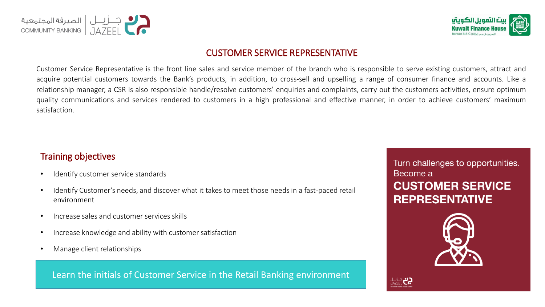



#### CUSTOMER SERVICE REPRESENTATIVE

Customer Service Representative is the front line sales and service member of the branch who is responsible to serve existing customers, attract and acquire potential customers towards the Bank's products, in addition, to cross-sell and upselling a range of consumer finance and accounts. Like a relationship manager, a CSR is also responsible handle/resolve customers' enquiries and complaints, carry out the customers activities, ensure optimum quality communications and services rendered to customers in a high professional and effective manner, in order to achieve customers' maximum satisfaction.

### Training objectives

- Identify customer service standards
- Identify Customer's needs, and discover what it takes to meet those needs in a fast-paced retail environment
- Increase sales and customer services skills
- Increase knowledge and ability with customer satisfaction
- Manage client relationships

Learn the initials of Customer Service in the Retail Banking environment

# Turn challenges to opportunities. Become a **CUSTOMER SERVICE REPRESENTATIVE**



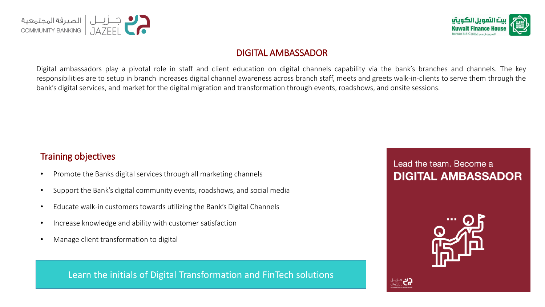



### DIGITAL AMBASSADOR

Digital ambassadors play a pivotal role in staff and client education on digital channels capability via the bank's branches and channels. The key responsibilities are to setup in branch increases digital channel awareness across branch staff, meets and greets walk-in-clients to serve them through the bank's digital services, and market for the digital migration and transformation through events, roadshows, and onsite sessions.

### Training objectives

- Promote the Banks digital services through all marketing channels
- Support the Bank's digital community events, roadshows, and social media
- Educate walk-in customers towards utilizing the Bank's Digital Channels
- Increase knowledge and ability with customer satisfaction
- Manage client transformation to digital

#### Learn the initials of Digital Transformation and FinTech solutions

# Lead the team. Become a **DIGITAL AMBASSADOR**

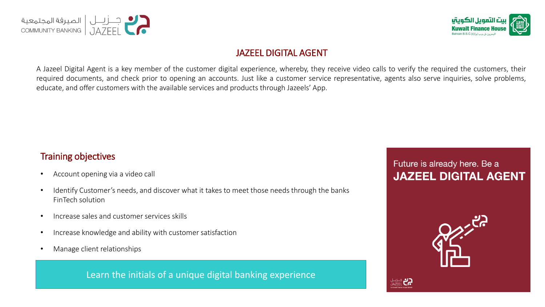



### JAZEEL DIGITAL AGENT

A Jazeel Digital Agent is a key member of the customer digital experience, whereby, they receive video calls to verify the required the customers, their required documents, and check prior to opening an accounts. Just like a customer service representative, agents also serve inquiries, solve problems, educate, and offer customers with the available services and products through Jazeels' App.

#### Training objectives

- Account opening via a video call
- Identify Customer's needs, and discover what it takes to meet those needs through the banks FinTech solution
- Increase sales and customer services skills
- Increase knowledge and ability with customer satisfaction
- Manage client relationships

Learn the initials of a unique digital banking experience

# Future is already here. Be a **JAZEEL DIGITAL AGENT**